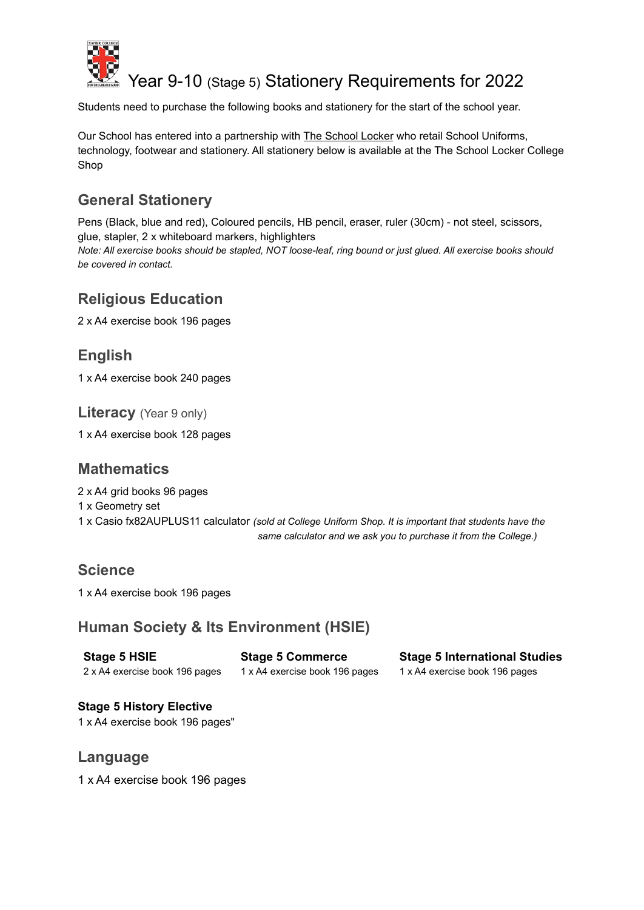

# Year 9-10 (Stage 5) Stationery Requirements for 2022

Students need to purchase the following books and stationery for the start of the school year.

Our School has entered into a partnership with The School Locker who retail School Uniforms, technology, footwear and stationery. All stationery below is available at the The School Locker College Shop

# **General Stationery**

Pens (Black, blue and red), Coloured pencils, HB pencil, eraser, ruler (30cm) - not steel, scissors, glue, stapler, 2 x whiteboard markers, highlighters *Note: All exercise books should be stapled, NOT loose-leaf, ring bound or just glued. All exercise books should*

# **Religious Education**

*be covered in contact.*

2 x A4 exercise book 196 pages

# **English**

1 x A4 exercise book 240 pages

**Literacy** (Year 9 only)

1 x A4 exercise book 128 pages

### **Mathematics**

2 x A4 grid books 96 pages

1 x Geometry set

1 x Casio fx82AUPLUS11 calculator *(sold at College Uniform Shop. It is important that students have the same calculator and we ask you to purchase it from the College.)*

### **Science**

1 x A4 exercise book 196 pages

### **Human Society & Its Environment (HSIE)**

**Stage 5 HSIE** 2 x A4 exercise book 196 pages **Stage 5 Commerce** 1 x A4 exercise book 196 pages **Stage 5 International Studies** 1 x A4 exercise book 196 pages

# **Stage 5 History Elective**

1 x A4 exercise book 196 pages"

### **Language**

1 x A4 exercise book 196 pages